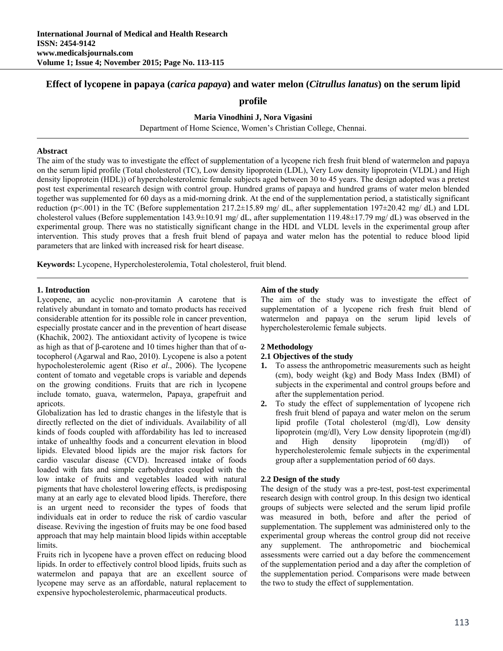# **Effect of lycopene in papaya (***carica papaya***) and water melon (***Citrullus lanatus***) on the serum lipid**

### **profile**

**Maria Vinodhini J, Nora Vigasini** 

Department of Home Science, Women's Christian College, Chennai.

#### **Abstract**

The aim of the study was to investigate the effect of supplementation of a lycopene rich fresh fruit blend of watermelon and papaya on the serum lipid profile (Total cholesterol (TC), Low density lipoprotein (LDL), Very Low density lipoprotein (VLDL) and High density lipoprotein (HDL)) of hypercholesterolemic female subjects aged between 30 to 45 years. The design adopted was a pretest post test experimental research design with control group. Hundred grams of papaya and hundred grams of water melon blended together was supplemented for 60 days as a mid-morning drink. At the end of the supplementation period, a statistically significant reduction (p<.001) in the TC (Before supplementation  $217.2\pm15.89$  mg/ dL, after supplementation  $197\pm20.42$  mg/ dL) and LDL cholesterol values (Before supplementation 143.9±10.91 mg/ dL, after supplementation 119.48±17.79 mg/ dL) was observed in the experimental group. There was no statistically significant change in the HDL and VLDL levels in the experimental group after intervention. This study proves that a fresh fruit blend of papaya and water melon has the potential to reduce blood lipid parameters that are linked with increased risk for heart disease.

**Keywords:** Lycopene, Hypercholesterolemia, Total cholesterol, fruit blend.

#### **1. Introduction**

Lycopene, an acyclic non-provitamin A carotene that is relatively abundant in tomato and tomato products has received considerable attention for its possible role in cancer prevention, especially prostate cancer and in the prevention of heart disease (Khachik, 2002). The antioxidant activity of lycopene is twice as high as that of β-carotene and 10 times higher than that of αtocopherol (Agarwal and Rao, 2010). Lycopene is also a potent hypocholesterolemic agent (Riso *et al*., 2006). The lycopene content of tomato and vegetable crops is variable and depends on the growing conditions. Fruits that are rich in lycopene include tomato, guava, watermelon, Papaya, grapefruit and apricots.

Globalization has led to drastic changes in the lifestyle that is directly reflected on the diet of individuals. Availability of all kinds of foods coupled with affordability has led to increased intake of unhealthy foods and a concurrent elevation in blood lipids. Elevated blood lipids are the major risk factors for cardio vascular disease (CVD). Increased intake of foods loaded with fats and simple carbohydrates coupled with the low intake of fruits and vegetables loaded with natural pigments that have cholesterol lowering effects, is predisposing many at an early age to elevated blood lipids. Therefore, there is an urgent need to reconsider the types of foods that individuals eat in order to reduce the risk of cardio vascular disease. Reviving the ingestion of fruits may be one food based approach that may help maintain blood lipids within acceptable limits.

Fruits rich in lycopene have a proven effect on reducing blood lipids. In order to effectively control blood lipids, fruits such as watermelon and papaya that are an excellent source of lycopene may serve as an affordable, natural replacement to expensive hypocholesterolemic, pharmaceutical products.

#### **Aim of the study**

The aim of the study was to investigate the effect of supplementation of a lycopene rich fresh fruit blend of watermelon and papaya on the serum lipid levels of hypercholesterolemic female subjects.

#### **2 Methodology**

### **2.1 Objectives of the study**

- **1.** To assess the anthropometric measurements such as height (cm), body weight (kg) and Body Mass Index (BMI) of subjects in the experimental and control groups before and after the supplementation period.
- **2.** To study the effect of supplementation of lycopene rich fresh fruit blend of papaya and water melon on the serum lipid profile (Total cholesterol (mg/dl), Low density lipoprotein (mg/dl), Very Low density lipoprotein (mg/dl) and High density lipoprotein (mg/dl)) of hypercholesterolemic female subjects in the experimental group after a supplementation period of 60 days.

### **2.2 Design of the study**

The design of the study was a pre-test, post-test experimental research design with control group. In this design two identical groups of subjects were selected and the serum lipid profile was measured in both, before and after the period of supplementation. The supplement was administered only to the experimental group whereas the control group did not receive any supplement. The anthropometric and biochemical assessments were carried out a day before the commencement of the supplementation period and a day after the completion of the supplementation period. Comparisons were made between the two to study the effect of supplementation.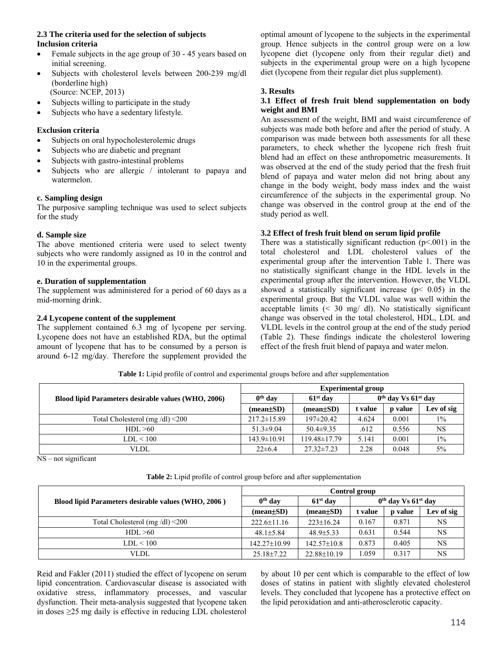## **2.3 The criteria used for the selection of subjects Inclusion criteria**

- Female subjects in the age group of 30 45 years based on initial screening.
- Subjects with cholesterol levels between 200-239 mg/dl (borderline high) (Source: NCEP, 2013)
- Subjects willing to participate in the study
- Subjects who have a sedentary lifestyle.

## **Exclusion criteria**

- Subjects on oral hypocholesterolemic drugs
- Subjects who are diabetic and pregnant
- Subjects with gastro-intestinal problems
- Subjects who are allergic / intolerant to papaya and watermelon.

### **c. Sampling design**

The purposive sampling technique was used to select subjects for the study

## **d. Sample size**

The above mentioned criteria were used to select twenty subjects who were randomly assigned as 10 in the control and 10 in the experimental groups.

### **e. Duration of supplementation**

The supplement was administered for a period of 60 days as a mid-morning drink.

## **2.4 Lycopene content of the supplement**

The supplement contained 6.3 mg of lycopene per serving. Lycopene does not have an established RDA, but the optimal amount of lycopene that has to be consumed by a person is around 6-12 mg/day. Therefore the supplement provided the optimal amount of lycopene to the subjects in the experimental group. Hence subjects in the control group were on a low lycopene diet (lycopene only from their regular diet) and subjects in the experimental group were on a high lycopene diet (lycopene from their regular diet plus supplement).

### **3. Results**

#### **3.1 Effect of fresh fruit blend supplementation on body weight and BMI**

An assessment of the weight, BMI and waist circumference of subjects was made both before and after the period of study. A comparison was made between both assessments for all these parameters, to check whether the lycopene rich fresh fruit blend had an effect on these anthropometric measurements. It was observed at the end of the study period that the fresh fruit blend of papaya and water melon did not bring about any change in the body weight, body mass index and the waist circumference of the subjects in the experimental group. No change was observed in the control group at the end of the study period as well.

# **3.2 Effect of fresh fruit blend on serum lipid profile**

There was a statistically significant reduction  $(p<0.001)$  in the total cholesterol and LDL cholesterol values of the experimental group after the intervention Table 1. There was no statistically significant change in the HDL levels in the experimental group after the intervention. However, the VLDL showed a statistically significant increase ( $p$ < 0.05) in the experimental group. But the VLDL value was well within the acceptable limits  $\left( \leq 30 \right)$  mg/ dl). No statistically significant change was observed in the total cholesterol, HDL, LDL and VLDL levels in the control group at the end of the study period (Table 2). These findings indicate the cholesterol lowering effect of the fresh fruit blend of papaya and water melon.

|                                                     | <b>Experimental group</b> |                               |                         |         |            |
|-----------------------------------------------------|---------------------------|-------------------------------|-------------------------|---------|------------|
| Blood lipid Parameters desirable values (WHO, 2006) | $0th$ day                 | $61st$ day                    | $0th$ day Vs $61st$ day |         |            |
|                                                     | $mean \pm SD$             | $(\text{mean} \pm \text{SD})$ | t value                 | p value | Lev of sig |
| Total Cholesterol (mg/dl) $\leq$ 200                | $217.2 \pm 15.89$         | $197\pm20.42$                 | 4.624                   | 0.001   | $1\%$      |
| HDL > 60                                            | $51.3 \pm 9.04$           | $50.4 \pm 9.35$               | .612                    | 0.556   | <b>NS</b>  |
| LDL < 100                                           | 143.9±10.91               | $119.48 \pm 17.79$            | 5.141                   | 0.001   | $1\%$      |
| VLDL                                                | $22\pm 6.4$               | $27.32 \pm 7.23$              | 2.28                    | 0.048   | 5%         |

**Table 1:** Lipid profile of control and experimental groups before and after supplementation

 $\overline{\text{NS} - \text{not significant}}$ 

|                                                     | Control group     |                   |                         |         |            |
|-----------------------------------------------------|-------------------|-------------------|-------------------------|---------|------------|
| Blood lipid Parameters desirable values (WHO, 2006) | $0th$ day         | $61st$ day        | $0th$ day Vs $61st$ day |         |            |
|                                                     | (mean±SD)         | $mean \pm SD$     | t value                 | p value | Lev of sig |
| Total Cholesterol (mg/dl) $\leq$ 200                | $222.6 \pm 11.16$ | $223 \pm 16.24$   | 0.167                   | 0.871   | <b>NS</b>  |
| HDL > 60                                            | $48.1 \pm 5.84$   | $48.9 \pm 5.33$   | 0.631                   | 0.544   | <b>NS</b>  |
| LDL < 100                                           | 142.27±10.99      | $142.57 \pm 10.8$ | 0.873                   | 0.405   | <b>NS</b>  |
| VLDL                                                | $25.18 \pm 7.22$  | $22.88 \pm 10.19$ | .059                    | 0.317   | NS         |

Reid and Fakler (2011) studied the effect of lycopene on serum lipid concentration. Cardiovascular disease is associated with oxidative stress, inflammatory processes, and vascular dysfunction. Their meta-analysis suggested that lycopene taken in doses ≥25 mg daily is effective in reducing LDL cholesterol by about 10 per cent which is comparable to the effect of low doses of statins in patient with slightly elevated cholesterol levels. They concluded that lycopene has a protective effect on the lipid peroxidation and anti-atherosclerotic capacity.